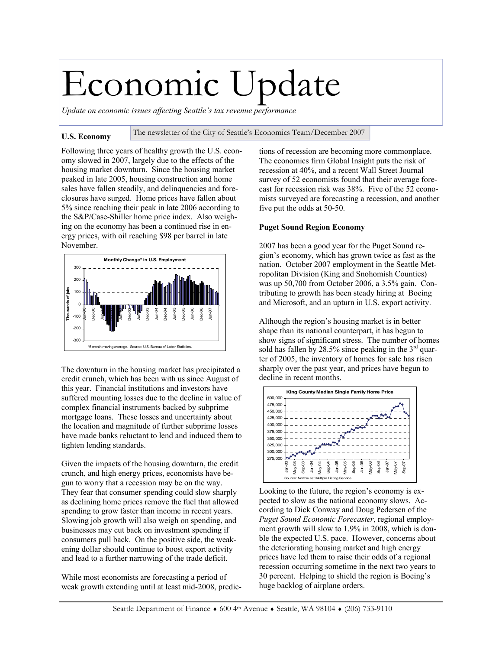# Economic Update

*Update on economic issues affecting Seattle's tax revenue performance* 

#### **U.S. Economy**  The newsletter of the City of Seattle's Economics Team/December 2007

Following three years of healthy growth the U.S. economy slowed in 2007, largely due to the effects of the housing market downturn. Since the housing market peaked in late 2005, housing construction and home sales have fallen steadily, and delinquencies and foreclosures have surged. Home prices have fallen about 5% since reaching their peak in late 2006 according to the S&P/Case-Shiller home price index. Also weighing on the economy has been a continued rise in energy prices, with oil reaching \$98 per barrel in late November.



The downturn in the housing market has precipitated a credit crunch, which has been with us since August of this year. Financial institutions and investors have suffered mounting losses due to the decline in value of complex financial instruments backed by subprime mortgage loans. These losses and uncertainty about the location and magnitude of further subprime losses have made banks reluctant to lend and induced them to tighten lending standards.

Given the impacts of the housing downturn, the credit crunch, and high energy prices, economists have begun to worry that a recession may be on the way. They fear that consumer spending could slow sharply as declining home prices remove the fuel that allowed spending to grow faster than income in recent years. Slowing job growth will also weigh on spending, and businesses may cut back on investment spending if consumers pull back. On the positive side, the weakening dollar should continue to boost export activity and lead to a further narrowing of the trade deficit.

While most economists are forecasting a period of weak growth extending until at least mid-2008, predictions of recession are becoming more commonplace. The economics firm Global Insight puts the risk of recession at 40%, and a recent Wall Street Journal survey of 52 economists found that their average forecast for recession risk was 38%. Five of the 52 economists surveyed are forecasting a recession, and another five put the odds at 50-50.

### **Puget Sound Region Economy**

2007 has been a good year for the Puget Sound region's economy, which has grown twice as fast as the nation. October 2007 employment in the Seattle Metropolitan Division (King and Snohomish Counties) was up 50,700 from October 2006, a 3.5% gain. Contributing to growth has been steady hiring at Boeing and Microsoft, and an upturn in U.S. export activity.

Although the region's housing market is in better shape than its national counterpart, it has begun to show signs of significant stress. The number of homes sold has fallen by  $28.5\%$  since peaking in the  $3<sup>rd</sup>$  quarter of 2005, the inventory of homes for sale has risen sharply over the past year, and prices have begun to decline in recent months.



Looking to the future, the region's economy is expected to slow as the national economy slows. According to Dick Conway and Doug Pedersen of the *Puget Sound Economic Forecaster*, regional employment growth will slow to 1.9% in 2008, which is double the expected U.S. pace. However, concerns about the deteriorating housing market and high energy prices have led them to raise their odds of a regional recession occurring sometime in the next two years to 30 percent. Helping to shield the region is Boeing's huge backlog of airplane orders.